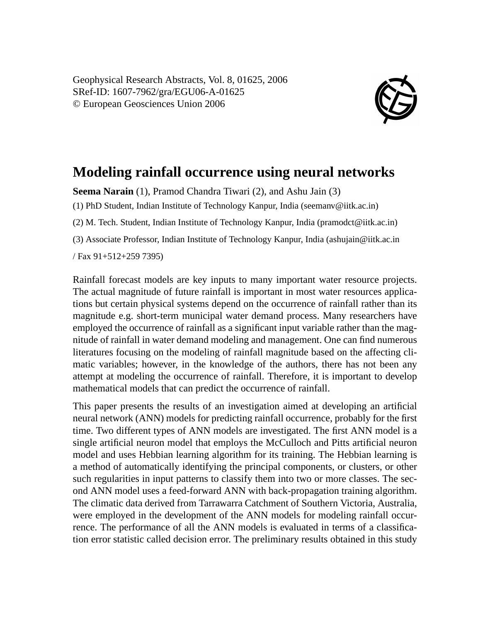Geophysical Research Abstracts, Vol. 8, 01625, 2006 SRef-ID: 1607-7962/gra/EGU06-A-01625 © European Geosciences Union 2006



## **Modeling rainfall occurrence using neural networks**

**Seema Narain** (1), Pramod Chandra Tiwari (2), and Ashu Jain (3)

(1) PhD Student, Indian Institute of Technology Kanpur, India (seemanv@iitk.ac.in)

(2) M. Tech. Student, Indian Institute of Technology Kanpur, India (pramodct@iitk.ac.in)

(3) Associate Professor, Indian Institute of Technology Kanpur, India (ashujain@iitk.ac.in

/ Fax 91+512+259 7395)

Rainfall forecast models are key inputs to many important water resource projects. The actual magnitude of future rainfall is important in most water resources applications but certain physical systems depend on the occurrence of rainfall rather than its magnitude e.g. short-term municipal water demand process. Many researchers have employed the occurrence of rainfall as a significant input variable rather than the magnitude of rainfall in water demand modeling and management. One can find numerous literatures focusing on the modeling of rainfall magnitude based on the affecting climatic variables; however, in the knowledge of the authors, there has not been any attempt at modeling the occurrence of rainfall. Therefore, it is important to develop mathematical models that can predict the occurrence of rainfall.

This paper presents the results of an investigation aimed at developing an artificial neural network (ANN) models for predicting rainfall occurrence, probably for the first time. Two different types of ANN models are investigated. The first ANN model is a single artificial neuron model that employs the McCulloch and Pitts artificial neuron model and uses Hebbian learning algorithm for its training. The Hebbian learning is a method of automatically identifying the principal components, or clusters, or other such regularities in input patterns to classify them into two or more classes. The second ANN model uses a feed-forward ANN with back-propagation training algorithm. The climatic data derived from Tarrawarra Catchment of Southern Victoria, Australia, were employed in the development of the ANN models for modeling rainfall occurrence. The performance of all the ANN models is evaluated in terms of a classification error statistic called decision error. The preliminary results obtained in this study